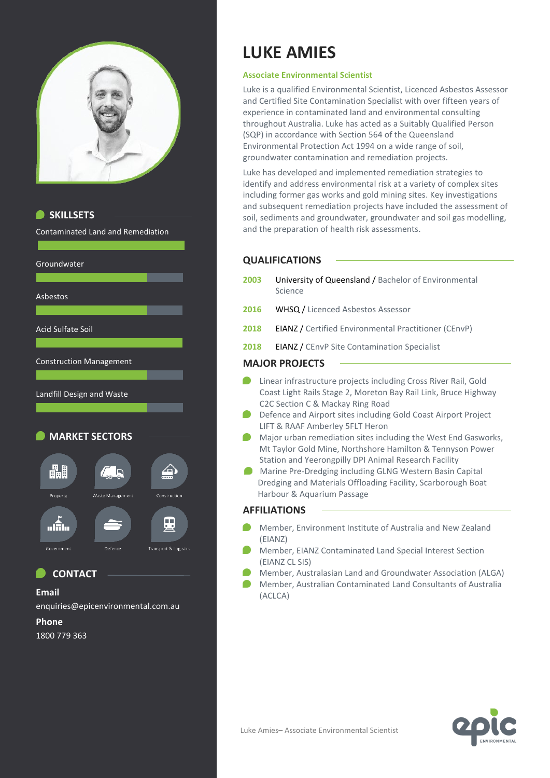



### **CONTACT**

### **Email**

enquiries@epicenvironmental.com.au

#### **Phone**

1800 779 363

# **LUKE AMIES**

### **Associate Environmental Scientist**

Luke is a qualified Environmental Scientist, Licenced Asbestos Assessor and Certified Site Contamination Specialist with over fifteen years of experience in contaminated land and environmental consulting throughout Australia. Luke has acted as a Suitably Qualified Person (SQP) in accordance with Section 564 of the Queensland Environmental Protection Act 1994 on a wide range of soil, groundwater contamination and remediation projects.

Luke has developed and implemented remediation strategies to identify and address environmental risk at a variety of complex sites including former gas works and gold mining sites. Key investigations and subsequent remediation projects have included the assessment of soil, sediments and groundwater, groundwater and soil gas modelling, and the preparation of health risk assessments.

### **QUALIFICATIONS**

- **2003** University of Queensland / Bachelor of Environmental Science
- **2016** WHSQ / Licenced Asbestos Assessor
- **2018** EIANZ / Certified Environmental Practitioner (CEnvP)
- **2018** EIANZ / CEnvP Site Contamination Specialist

### **MAJOR PROJECTS**

- **C** Linear infrastructure projects including Cross River Rail, Gold Coast Light Rails Stage 2, Moreton Bay Rail Link, Bruce Highway C2C Section C & Mackay Ring Road
- **Defence and Airport sites including Gold Coast Airport Project** LIFT & RAAF Amberley 5FLT Heron
- **Major urban remediation sites including the West End Gasworks,** Mt Taylor Gold Mine, Northshore Hamilton & Tennyson Power Station and Yeerongpilly DPI Animal Research Facility
- **Marine Pre-Dredging including GLNG Western Basin Capital** Dredging and Materials Offloading Facility, Scarborough Boat Harbour & Aquarium Passage

### **AFFILIATIONS**

- Member, Environment Institute of Australia and New Zealand (EIANZ)
- Member, EIANZ Contaminated Land Special Interest Section (EIANZ CL SIS)
- Member, Australasian Land and Groundwater Association (ALGA)
- Member, Australian Contaminated Land Consultants of Australia (ACLCA)

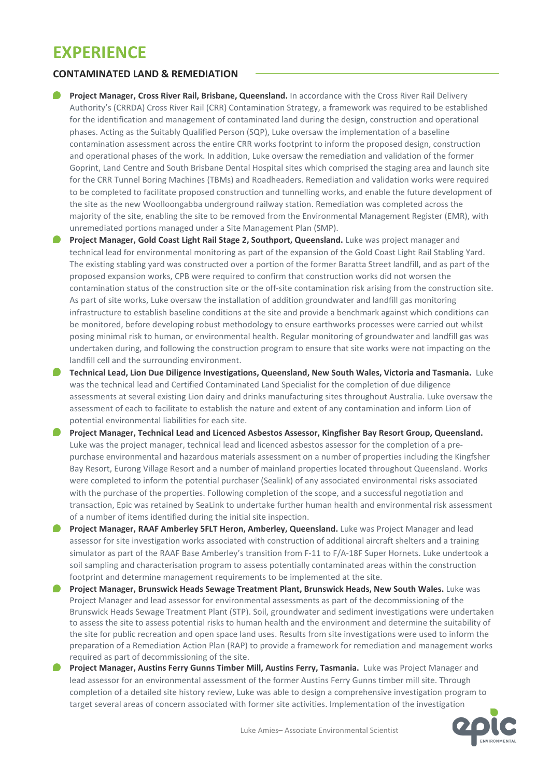## **EXPERIENCE**

### **CONTAMINATED LAND & REMEDIATION**

- **Project Manager, Cross River Rail, Brisbane, Queensland.** In accordance with the Cross River Rail Delivery Authority's (CRRDA) Cross River Rail (CRR) Contamination Strategy, a framework was required to be established for the identification and management of contaminated land during the design, construction and operational phases. Acting as the Suitably Qualified Person (SQP), Luke oversaw the implementation of a baseline contamination assessment across the entire CRR works footprint to inform the proposed design, construction and operational phases of the work. In addition, Luke oversaw the remediation and validation of the former Goprint, Land Centre and South Brisbane Dental Hospital sites which comprised the staging area and launch site for the CRR Tunnel Boring Machines (TBMs) and Roadheaders. Remediation and validation works were required to be completed to facilitate proposed construction and tunnelling works, and enable the future development of the site as the new Woolloongabba underground railway station. Remediation was completed across the majority of the site, enabling the site to be removed from the Environmental Management Register (EMR), with unremediated portions managed under a Site Management Plan (SMP).
- **Project Manager, Gold Coast Light Rail Stage 2, Southport, Queensland.** Luke was project manager and technical lead for environmental monitoring as part of the expansion of the Gold Coast Light Rail Stabling Yard. The existing stabling yard was constructed over a portion of the former Baratta Street landfill, and as part of the proposed expansion works, CPB were required to confirm that construction works did not worsen the contamination status of the construction site or the off-site contamination risk arising from the construction site. As part of site works, Luke oversaw the installation of addition groundwater and landfill gas monitoring infrastructure to establish baseline conditions at the site and provide a benchmark against which conditions can be monitored, before developing robust methodology to ensure earthworks processes were carried out whilst posing minimal risk to human, or environmental health. Regular monitoring of groundwater and landfill gas was undertaken during, and following the construction program to ensure that site works were not impacting on the landfill cell and the surrounding environment.
- **Technical Lead, Lion Due Diligence Investigations, Queensland, New South Wales, Victoria and Tasmania.** Luke was the technical lead and Certified Contaminated Land Specialist for the completion of due diligence assessments at several existing Lion dairy and drinks manufacturing sites throughout Australia. Luke oversaw the assessment of each to facilitate to establish the nature and extent of any contamination and inform Lion of potential environmental liabilities for each site.
- **Project Manager, Technical Lead and Licenced Asbestos Assessor, Kingfisher Bay Resort Group, Queensland.**  Luke was the project manager, technical lead and licenced asbestos assessor for the completion of a prepurchase environmental and hazardous materials assessment on a number of properties including the Kingfsher Bay Resort, Eurong Village Resort and a number of mainland properties located throughout Queensland. Works were completed to inform the potential purchaser (Sealink) of any associated environmental risks associated with the purchase of the properties. Following completion of the scope, and a successful negotiation and transaction, Epic was retained by SeaLink to undertake further human health and environmental risk assessment of a number of items identified during the initial site inspection.
- **Project Manager, RAAF Amberley 5FLT Heron, Amberley, Queensland.** Luke was Project Manager and lead assessor for site investigation works associated with construction of additional aircraft shelters and a training simulator as part of the RAAF Base Amberley's transition from F-11 to F/A-18F Super Hornets. Luke undertook a soil sampling and characterisation program to assess potentially contaminated areas within the construction footprint and determine management requirements to be implemented at the site.
- **Project Manager, Brunswick Heads Sewage Treatment Plant, Brunswick Heads, New South Wales.** Luke was Project Manager and lead assessor for environmental assessments as part of the decommissioning of the Brunswick Heads Sewage Treatment Plant (STP). Soil, groundwater and sediment investigations were undertaken to assess the site to assess potential risks to human health and the environment and determine the suitability of the site for public recreation and open space land uses. Results from site investigations were used to inform the preparation of a Remediation Action Plan (RAP) to provide a framework for remediation and management works required as part of decommissioning of the site.
- **Project Manager, Austins Ferry Gunns Timber Mill, Austins Ferry, Tasmania.** Luke was Project Manager and lead assessor for an environmental assessment of the former Austins Ferry Gunns timber mill site. Through completion of a detailed site history review, Luke was able to design a comprehensive investigation program to target several areas of concern associated with former site activities. Implementation of the investigation

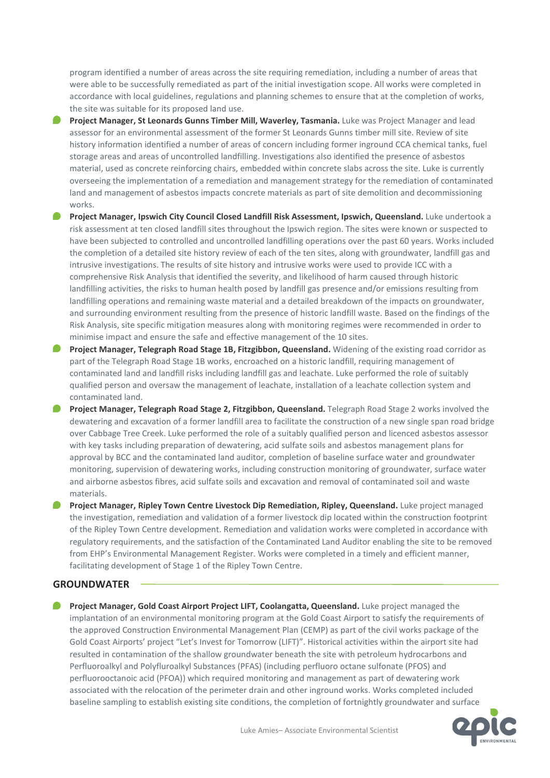program identified a number of areas across the site requiring remediation, including a number of areas that were able to be successfully remediated as part of the initial investigation scope. All works were completed in accordance with local guidelines, regulations and planning schemes to ensure that at the completion of works, the site was suitable for its proposed land use.

- **Project Manager, St Leonards Gunns Timber Mill, Waverley, Tasmania.** Luke was Project Manager and lead assessor for an environmental assessment of the former St Leonards Gunns timber mill site. Review of site history information identified a number of areas of concern including former inground CCA chemical tanks, fuel storage areas and areas of uncontrolled landfilling. Investigations also identified the presence of asbestos material, used as concrete reinforcing chairs, embedded within concrete slabs across the site. Luke is currently overseeing the implementation of a remediation and management strategy for the remediation of contaminated land and management of asbestos impacts concrete materials as part of site demolition and decommissioning works.
- **Project Manager, Ipswich City Council Closed Landfill Risk Assessment, Ipswich, Queensland.** Luke undertook a risk assessment at ten closed landfill sites throughout the Ipswich region. The sites were known or suspected to have been subjected to controlled and uncontrolled landfilling operations over the past 60 years. Works included the completion of a detailed site history review of each of the ten sites, along with groundwater, landfill gas and intrusive investigations. The results of site history and intrusive works were used to provide ICC with a comprehensive Risk Analysis that identified the severity, and likelihood of harm caused through historic landfilling activities, the risks to human health posed by landfill gas presence and/or emissions resulting from landfilling operations and remaining waste material and a detailed breakdown of the impacts on groundwater, and surrounding environment resulting from the presence of historic landfill waste. Based on the findings of the Risk Analysis, site specific mitigation measures along with monitoring regimes were recommended in order to minimise impact and ensure the safe and effective management of the 10 sites.
- **Project Manager, Telegraph Road Stage 1B, Fitzgibbon, Queensland.** Widening of the existing road corridor as part of the Telegraph Road Stage 1B works, encroached on a historic landfill, requiring management of contaminated land and landfill risks including landfill gas and leachate. Luke performed the role of suitably qualified person and oversaw the management of leachate, installation of a leachate collection system and contaminated land.
- **Project Manager, Telegraph Road Stage 2, Fitzgibbon, Queensland.** Telegraph Road Stage 2 works involved the dewatering and excavation of a former landfill area to facilitate the construction of a new single span road bridge over Cabbage Tree Creek. Luke performed the role of a suitably qualified person and licenced asbestos assessor with key tasks including preparation of dewatering, acid sulfate soils and asbestos management plans for approval by BCC and the contaminated land auditor, completion of baseline surface water and groundwater monitoring, supervision of dewatering works, including construction monitoring of groundwater, surface water and airborne asbestos fibres, acid sulfate soils and excavation and removal of contaminated soil and waste materials.
- **Project Manager, Ripley Town Centre Livestock Dip Remediation, Ripley, Queensland. Luke project managed** the investigation, remediation and validation of a former livestock dip located within the construction footprint of the Ripley Town Centre development. Remediation and validation works were completed in accordance with regulatory requirements, and the satisfaction of the Contaminated Land Auditor enabling the site to be removed from EHP's Environmental Management Register. Works were completed in a timely and efficient manner, facilitating development of Stage 1 of the Ripley Town Centre.

### **GROUNDWATER**

**Project Manager, Gold Coast Airport Project LIFT, Coolangatta, Queensland.** Luke project managed the implantation of an environmental monitoring program at the Gold Coast Airport to satisfy the requirements of the approved Construction Environmental Management Plan (CEMP) as part of the civil works package of the Gold Coast Airports' project "Let's Invest for Tomorrow (LIFT)". Historical activities within the airport site had resulted in contamination of the shallow groundwater beneath the site with petroleum hydrocarbons and Perfluoroalkyl and Polyfluroalkyl Substances (PFAS) (including perfluoro octane sulfonate (PFOS) and perfluorooctanoic acid (PFOA)) which required monitoring and management as part of dewatering work associated with the relocation of the perimeter drain and other inground works. Works completed included baseline sampling to establish existing site conditions, the completion of fortnightly groundwater and surface

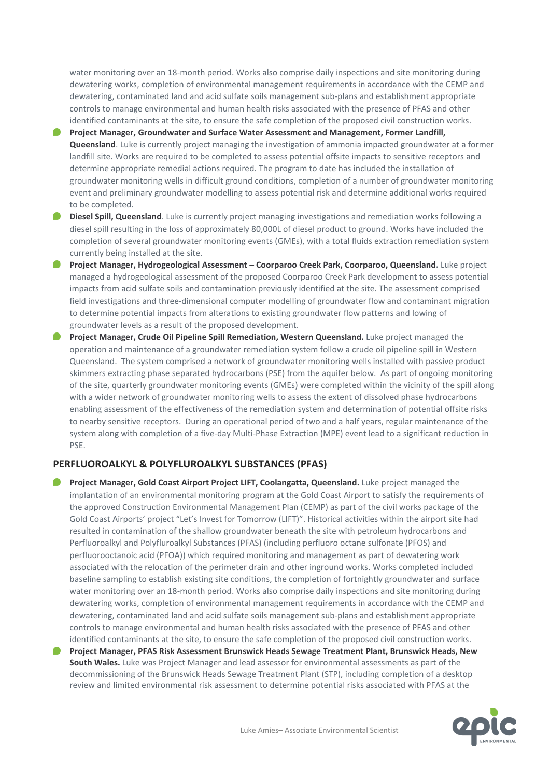water monitoring over an 18-month period. Works also comprise daily inspections and site monitoring during dewatering works, completion of environmental management requirements in accordance with the CEMP and dewatering, contaminated land and acid sulfate soils management sub-plans and establishment appropriate controls to manage environmental and human health risks associated with the presence of PFAS and other identified contaminants at the site, to ensure the safe completion of the proposed civil construction works.

- **Project Manager, Groundwater and Surface Water Assessment and Management, Former Landfill, Queensland**. Luke is currently project managing the investigation of ammonia impacted groundwater at a former landfill site. Works are required to be completed to assess potential offsite impacts to sensitive receptors and determine appropriate remedial actions required. The program to date has included the installation of groundwater monitoring wells in difficult ground conditions, completion of a number of groundwater monitoring event and preliminary groundwater modelling to assess potential risk and determine additional works required to be completed.
- **Diesel Spill, Queensland**. Luke is currently project managing investigations and remediation works following a diesel spill resulting in the loss of approximately 80,000L of diesel product to ground. Works have included the completion of several groundwater monitoring events (GMEs), with a total fluids extraction remediation system currently being installed at the site.
- **Project Manager, Hydrogeological Assessment – Coorparoo Creek Park, Coorparoo, Queensland.** Luke project managed a hydrogeological assessment of the proposed Coorparoo Creek Park development to assess potential impacts from acid sulfate soils and contamination previously identified at the site. The assessment comprised field investigations and three-dimensional computer modelling of groundwater flow and contaminant migration to determine potential impacts from alterations to existing groundwater flow patterns and lowing of groundwater levels as a result of the proposed development.
- **Project Manager, Crude Oil Pipeline Spill Remediation, Western Queensland.** Luke project managed the operation and maintenance of a groundwater remediation system follow a crude oil pipeline spill in Western Queensland. The system comprised a network of groundwater monitoring wells installed with passive product skimmers extracting phase separated hydrocarbons (PSE) from the aquifer below. As part of ongoing monitoring of the site, quarterly groundwater monitoring events (GMEs) were completed within the vicinity of the spill along with a wider network of groundwater monitoring wells to assess the extent of dissolved phase hydrocarbons enabling assessment of the effectiveness of the remediation system and determination of potential offsite risks to nearby sensitive receptors. During an operational period of two and a half years, regular maintenance of the system along with completion of a five-day Multi-Phase Extraction (MPE) event lead to a significant reduction in PSE.

### **PERFLUOROALKYL & POLYFLUROALKYL SUBSTANCES (PFAS)**

**Project Manager, Gold Coast Airport Project LIFT, Coolangatta, Queensland.** Luke project managed the implantation of an environmental monitoring program at the Gold Coast Airport to satisfy the requirements of the approved Construction Environmental Management Plan (CEMP) as part of the civil works package of the Gold Coast Airports' project "Let's Invest for Tomorrow (LIFT)". Historical activities within the airport site had resulted in contamination of the shallow groundwater beneath the site with petroleum hydrocarbons and Perfluoroalkyl and Polyfluroalkyl Substances (PFAS) (including perfluoro octane sulfonate (PFOS) and perfluorooctanoic acid (PFOA)) which required monitoring and management as part of dewatering work associated with the relocation of the perimeter drain and other inground works. Works completed included baseline sampling to establish existing site conditions, the completion of fortnightly groundwater and surface water monitoring over an 18-month period. Works also comprise daily inspections and site monitoring during dewatering works, completion of environmental management requirements in accordance with the CEMP and dewatering, contaminated land and acid sulfate soils management sub-plans and establishment appropriate controls to manage environmental and human health risks associated with the presence of PFAS and other identified contaminants at the site, to ensure the safe completion of the proposed civil construction works.

**Project Manager, PFAS Risk Assessment Brunswick Heads Sewage Treatment Plant, Brunswick Heads, New South Wales.** Luke was Project Manager and lead assessor for environmental assessments as part of the decommissioning of the Brunswick Heads Sewage Treatment Plant (STP), including completion of a desktop review and limited environmental risk assessment to determine potential risks associated with PFAS at the

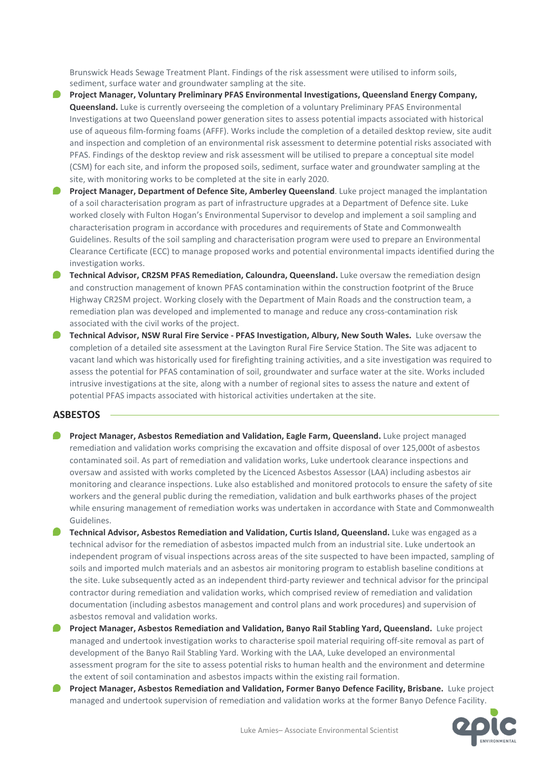Brunswick Heads Sewage Treatment Plant. Findings of the risk assessment were utilised to inform soils, sediment, surface water and groundwater sampling at the site.

- **Project Manager, Voluntary Preliminary PFAS Environmental Investigations, Queensland Energy Company, Queensland.** Luke is currently overseeing the completion of a voluntary Preliminary PFAS Environmental Investigations at two Queensland power generation sites to assess potential impacts associated with historical use of aqueous film-forming foams (AFFF). Works include the completion of a detailed desktop review, site audit and inspection and completion of an environmental risk assessment to determine potential risks associated with PFAS. Findings of the desktop review and risk assessment will be utilised to prepare a conceptual site model (CSM) for each site, and inform the proposed soils, sediment, surface water and groundwater sampling at the site, with monitoring works to be completed at the site in early 2020.
- **Project Manager, Department of Defence Site, Amberley Queensland. Luke project managed the implantation** of a soil characterisation program as part of infrastructure upgrades at a Department of Defence site. Luke worked closely with Fulton Hogan's Environmental Supervisor to develop and implement a soil sampling and characterisation program in accordance with procedures and requirements of State and Commonwealth Guidelines. Results of the soil sampling and characterisation program were used to prepare an Environmental Clearance Certificate (ECC) to manage proposed works and potential environmental impacts identified during the investigation works.
- **P** Technical Advisor, CR2SM PFAS Remediation, Caloundra, Queensland. Luke oversaw the remediation design and construction management of known PFAS contamination within the construction footprint of the Bruce Highway CR2SM project. Working closely with the Department of Main Roads and the construction team, a remediation plan was developed and implemented to manage and reduce any cross-contamination risk associated with the civil works of the project.
- **Technical Advisor, NSW Rural Fire Service - PFAS Investigation, Albury, New South Wales.** Luke oversaw the completion of a detailed site assessment at the Lavington Rural Fire Service Station. The Site was adjacent to vacant land which was historically used for firefighting training activities, and a site investigation was required to assess the potential for PFAS contamination of soil, groundwater and surface water at the site. Works included intrusive investigations at the site, along with a number of regional sites to assess the nature and extent of potential PFAS impacts associated with historical activities undertaken at the site.

### **ASBESTOS**

- **Project Manager, Asbestos Remediation and Validation, Eagle Farm, Queensland.** Luke project managed remediation and validation works comprising the excavation and offsite disposal of over 125,000t of asbestos contaminated soil. As part of remediation and validation works, Luke undertook clearance inspections and oversaw and assisted with works completed by the Licenced Asbestos Assessor (LAA) including asbestos air monitoring and clearance inspections. Luke also established and monitored protocols to ensure the safety of site workers and the general public during the remediation, validation and bulk earthworks phases of the project while ensuring management of remediation works was undertaken in accordance with State and Commonwealth Guidelines.
- **Technical Advisor, Asbestos Remediation and Validation, Curtis Island, Queensland.** Luke was engaged as a technical advisor for the remediation of asbestos impacted mulch from an industrial site. Luke undertook an independent program of visual inspections across areas of the site suspected to have been impacted, sampling of soils and imported mulch materials and an asbestos air monitoring program to establish baseline conditions at the site. Luke subsequently acted as an independent third-party reviewer and technical advisor for the principal contractor during remediation and validation works, which comprised review of remediation and validation documentation (including asbestos management and control plans and work procedures) and supervision of asbestos removal and validation works.
- **Project Manager, Asbestos Remediation and Validation, Banyo Rail Stabling Yard, Queensland.** Luke project managed and undertook investigation works to characterise spoil material requiring off-site removal as part of development of the Banyo Rail Stabling Yard. Working with the LAA, Luke developed an environmental assessment program for the site to assess potential risks to human health and the environment and determine the extent of soil contamination and asbestos impacts within the existing rail formation.
- **Project Manager, Asbestos Remediation and Validation, Former Banyo Defence Facility, Brisbane.** Luke project managed and undertook supervision of remediation and validation works at the former Banyo Defence Facility.

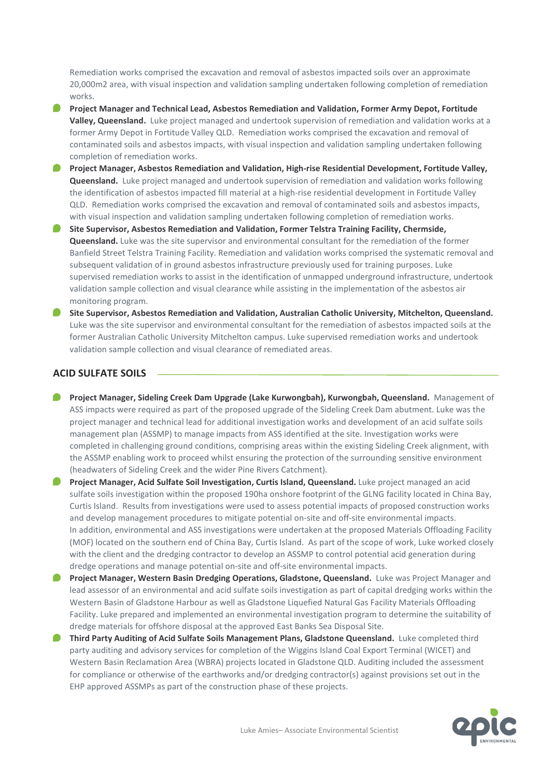Remediation works comprised the excavation and removal of asbestos impacted soils over an approximate 20,000m2 area, with visual inspection and validation sampling undertaken following completion of remediation works.

- **Project Manager and Technical Lead, Asbestos Remediation and Validation, Former Army Depot, Fortitude Valley, Queensland.** Luke project managed and undertook supervision of remediation and validation works at a former Army Depot in Fortitude Valley QLD. Remediation works comprised the excavation and removal of contaminated soils and asbestos impacts, with visual inspection and validation sampling undertaken following completion of remediation works.
- **Project Manager, Asbestos Remediation and Validation, High-rise Residential Development, Fortitude Valley, Queensland.** Luke project managed and undertook supervision of remediation and validation works following the identification of asbestos impacted fill material at a high-rise residential development in Fortitude Valley QLD. Remediation works comprised the excavation and removal of contaminated soils and asbestos impacts, with visual inspection and validation sampling undertaken following completion of remediation works.
- **Site Supervisor, Asbestos Remediation and Validation, Former Telstra Training Facility, Chermside, Queensland.** Luke was the site supervisor and environmental consultant for the remediation of the former Banfield Street Telstra Training Facility. Remediation and validation works comprised the systematic removal and subsequent validation of in ground asbestos infrastructure previously used for training purposes. Luke supervised remediation works to assist in the identification of unmapped underground infrastructure, undertook validation sample collection and visual clearance while assisting in the implementation of the asbestos air monitoring program.
- **Site Supervisor, Asbestos Remediation and Validation, Australian Catholic University, Mitchelton, Queensland.** Luke was the site supervisor and environmental consultant for the remediation of asbestos impacted soils at the former Australian Catholic University Mitchelton campus. Luke supervised remediation works and undertook validation sample collection and visual clearance of remediated areas.

### **ACID SULFATE SOILS**

- **Project Manager, Sideling Creek Dam Upgrade (Lake Kurwongbah), Kurwongbah, Queensland.** Management of ASS impacts were required as part of the proposed upgrade of the Sideling Creek Dam abutment. Luke was the project manager and technical lead for additional investigation works and development of an acid sulfate soils management plan (ASSMP) to manage impacts from ASS identified at the site. Investigation works were completed in challenging ground conditions, comprising areas within the existing Sideling Creek alignment, with the ASSMP enabling work to proceed whilst ensuring the protection of the surrounding sensitive environment (headwaters of Sideling Creek and the wider Pine Rivers Catchment).
- **Project Manager, Acid Sulfate Soil Investigation, Curtis Island, Queensland.** Luke project managed an acid sulfate soils investigation within the proposed 190ha onshore footprint of the GLNG facility located in China Bay, Curtis Island. Results from investigations were used to assess potential impacts of proposed construction works and develop management procedures to mitigate potential on-site and off-site environmental impacts. In addition, environmental and ASS investigations were undertaken at the proposed Materials Offloading Facility (MOF) located on the southern end of China Bay, Curtis Island. As part of the scope of work, Luke worked closely with the client and the dredging contractor to develop an ASSMP to control potential acid generation during dredge operations and manage potential on-site and off-site environmental impacts.
- **Project Manager, Western Basin Dredging Operations, Gladstone, Queensland.** Luke was Project Manager and lead assessor of an environmental and acid sulfate soils investigation as part of capital dredging works within the Western Basin of Gladstone Harbour as well as Gladstone Liquefied Natural Gas Facility Materials Offloading Facility. Luke prepared and implemented an environmental investigation program to determine the suitability of dredge materials for offshore disposal at the approved East Banks Sea Disposal Site.
- **Third Party Auditing of Acid Sulfate Soils Management Plans, Gladstone Queensland.** Luke completed third party auditing and advisory services for completion of the Wiggins Island Coal Export Terminal (WICET) and Western Basin Reclamation Area (WBRA) projects located in Gladstone QLD. Auditing included the assessment for compliance or otherwise of the earthworks and/or dredging contractor(s) against provisions set out in the EHP approved ASSMPs as part of the construction phase of these projects.